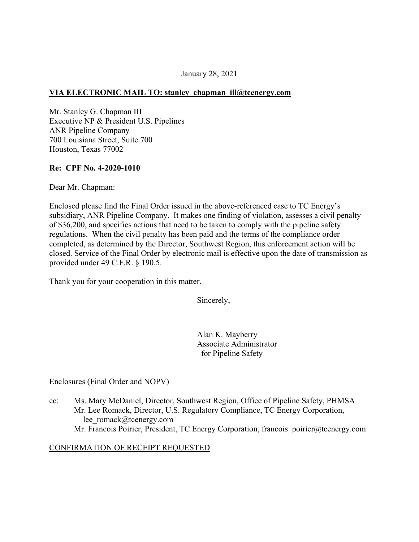#### January 28, 2021

## **VIA ELECTRONIC MAIL TO: stanley chapman [iii@tcenergy.com](mailto:iii@tcenergy.com)**

Mr. Stanley G. Chapman III Executive NP & President U.S. Pipelines ANR Pipeline Company 700 Louisiana Street, Suite 700 Houston, Texas 77002

#### **Re: CPF No. 4-2020-1010**

Dear Mr. Chapman:

Enclosed please find the Final Order issued in the above-referenced case to TC Energy's subsidiary, ANR Pipeline Company. It makes one finding of violation, assesses a civil penalty of \$36,200, and specifies actions that need to be taken to comply with the pipeline safety regulations. When the civil penalty has been paid and the terms of the compliance order completed, as determined by the Director, Southwest Region, this enforcement action will be closed. Service of the Final Order by electronic mail is effective upon the date of transmission as provided under 49 C.F.R. § 190.5.

Thank you for your cooperation in this matter.

Sincerely,

Alan K. Mayberry Associate Administrator for Pipeline Safety

Enclosures (Final Order and NOPV)

cc: Ms. Mary McDaniel, Director, Southwest Region, Office of Pipeline Safety, PHMSA Mr. Lee Romack, Director, U.S. Regulatory Compliance, TC Energy Corporation, [lee\\_romack@tcenergy.com](mailto:lee_romack@tcenergy.com) Mr. Francois Poirier, President, TC Energy Corporation, francois poirier@tcenergy.com

#### CONFIRMATION OF RECEIPT REQUESTED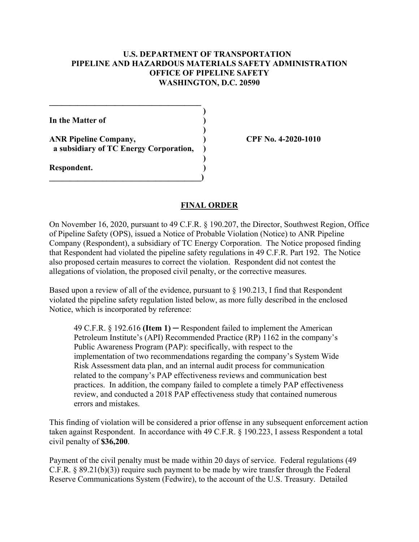#### **U.S. DEPARTMENT OF TRANSPORTATION PIPELINE AND HAZARDOUS MATERIALS SAFETY ADMINISTRATION OFFICE OF PIPELINE SAFETY WASHINGTON, D.C. 20590**

**)** 

**)** 

**)** 

**In the Matter of )** 

**ANR Pipeline Company, ) CPF No. 4-2020-1010 a subsidiary of TC Energy Corporation, )** 

**\_\_\_\_\_\_\_\_\_\_\_\_\_\_\_\_\_\_\_\_\_\_\_\_\_\_\_\_\_\_\_\_\_\_\_\_\_)** 

**\_\_\_\_\_\_\_\_\_\_\_\_\_\_\_\_\_\_\_\_\_\_\_\_\_\_\_\_\_\_\_\_\_\_\_\_\_** 

**Respondent. )** 

## **FINAL ORDER**

On November 16, 2020, pursuant to 49 C.F.R. § 190.207, the Director, Southwest Region, Office of Pipeline Safety (OPS), issued a Notice of Probable Violation (Notice) to ANR Pipeline Company (Respondent), a subsidiary of TC Energy Corporation. The Notice proposed finding that Respondent had violated the pipeline safety regulations in 49 C.F.R. Part 192. The Notice also proposed certain measures to correct the violation. Respondent did not contest the allegations of violation, the proposed civil penalty, or the corrective measures.

Based upon a review of all of the evidence, pursuant to § 190.213, I find that Respondent violated the pipeline safety regulation listed below, as more fully described in the enclosed Notice, which is incorporated by reference:

49 C.F.R. § 192.616 **(Item 1)** ─ Respondent failed to implement the American Petroleum Institute's (API) Recommended Practice (RP) 1162 in the company's Public Awareness Program (PAP): specifically, with respect to the implementation of two recommendations regarding the company's System Wide Risk Assessment data plan, and an internal audit process for communication related to the company's PAP effectiveness reviews and communication best practices. In addition, the company failed to complete a timely PAP effectiveness review, and conducted a 2018 PAP effectiveness study that contained numerous errors and mistakes.

This finding of violation will be considered a prior offense in any subsequent enforcement action taken against Respondent. In accordance with 49 C.F.R. § 190.223, I assess Respondent a total civil penalty of **\$36,200**.

Payment of the civil penalty must be made within 20 days of service. Federal regulations (49 C.F.R. § 89.21(b)(3)) require such payment to be made by wire transfer through the Federal Reserve Communications System (Fedwire), to the account of the U.S. Treasury. Detailed